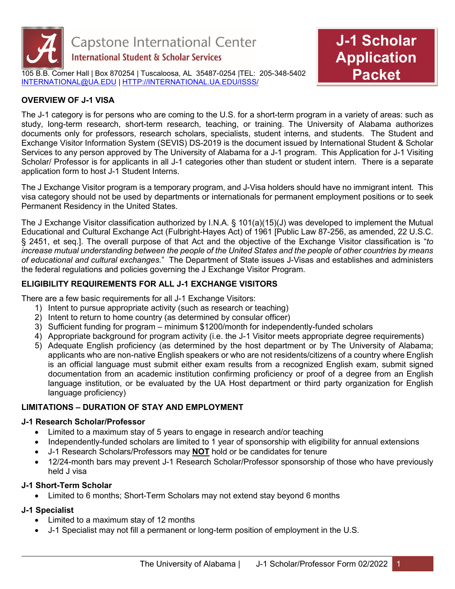

105 B.B. Comer Hall | Box 870254 | Tuscaloosa, AL 35487-0254 |TEL: 205-348-5402 [INTERNATIONAL@UA.EDU](mailto:INTERNATIONAL@UA.EDU) | [HTTP://INTERNATIONAL.UA.EDU/ISSS/](http://international.ua.edu/ISSS/) 



## **OVERVIEW OF J-1 VISA**

The J-1 category is for persons who are coming to the U.S. for a short-term program in a variety of areas: such as study, long-term research, short-term research, teaching, or training. The University of Alabama authorizes documents only for professors, research scholars, specialists, student interns, and students. The Student and Exchange Visitor Information System (SEVIS) DS-2019 is the document issued by International Student & Scholar Services to any person approved by The University of Alabama for a J-1 program. This Application for J-1 Visiting Scholar/ Professor is for applicants in all J-1 categories other than student or student intern. There is a separate application form to host J-1 Student Interns.

The J Exchange Visitor program is a temporary program, and J-Visa holders should have no immigrant intent. This visa category should not be used by departments or internationals for permanent employment positions or to seek Permanent Residency in the United States.

The J Exchange Visitor classification authorized by I.N.A. § 101(a)(15)(J) was developed to implement the Mutual Educational and Cultural Exchange Act (Fulbright-Hayes Act) of 1961 [Public Law 87-256, as amended, 22 U.S.C. § 2451, et seq.]. The overall purpose of that Act and the objective of the Exchange Visitor classification is "*to increase mutual understanding between the people of the United States and the people of other countries by means of educational and cultural exchanges.*" The Department of State issues J-Visas and establishes and administers the federal regulations and policies governing the J Exchange Visitor Program.

#### **ELIGIBILITY REQUIREMENTS FOR ALL J-1 EXCHANGE VISITORS**

There are a few basic requirements for all J-1 Exchange Visitors:

- 1) Intent to pursue appropriate activity (such as research or teaching)
- 2) Intent to return to home country (as determined by consular officer)
- 3) Sufficient funding for program minimum \$1200/month for independently-funded scholars
- 4) Appropriate background for program activity (i.e. the J-1 Visitor meets appropriate degree requirements)
- 5) Adequate English proficiency (as determined by the host department or by The University of Alabama; applicants who are non-native English speakers or who are not residents/citizens of a country where English is an official language must submit either exam results from a recognized English exam, submit signed documentation from an academic institution confirming proficiency or proof of a degree from an English language institution, or be evaluated by the UA Host department or third party organization for English language proficiency)

### **LIMITATIONS – DURATION OF STAY AND EMPLOYMENT**

#### **J-1 Research Scholar/Professor**

- Limited to a maximum stay of 5 years to engage in research and/or teaching
- Independently-funded scholars are limited to 1 year of sponsorship with eligibility for annual extensions
- J-1 Research Scholars/Professors may **NOT** hold or be candidates for tenure
- 12/24-month bars may prevent J-1 Research Scholar/Professor sponsorship of those who have previously held J visa

#### **J-1 Short-Term Scholar**

• Limited to 6 months; Short-Term Scholars may not extend stay beyond 6 months

#### **J-1 Specialist**

- Limited to a maximum stay of 12 months
- J-1 Specialist may not fill a permanent or long-term position of employment in the U.S.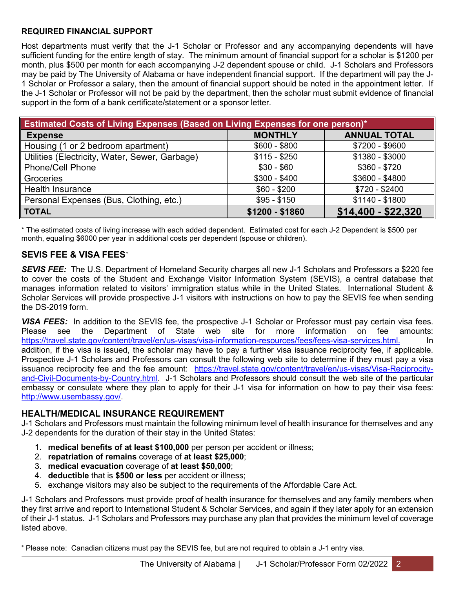#### **REQUIRED FINANCIAL SUPPORT**

Host departments must verify that the J-1 Scholar or Professor and any accompanying dependents will have sufficient funding for the entire length of stay. The minimum amount of financial support for a scholar is \$1200 per month, plus \$500 per month for each accompanying J-2 dependent spouse or child. J-1 Scholars and Professors may be paid by The University of Alabama or have independent financial support. If the department will pay the J-1 Scholar or Professor a salary, then the amount of financial support should be noted in the appointment letter. If the J-1 Scholar or Professor will not be paid by the department, then the scholar must submit evidence of financial support in the form of a bank certificate/statement or a sponsor letter.

| <b>Estimated Costs of Living Expenses (Based on Living Expenses for one person)*</b> |                 |                     |  |
|--------------------------------------------------------------------------------------|-----------------|---------------------|--|
| <b>Expense</b>                                                                       | <b>MONTHLY</b>  | <b>ANNUAL TOTAL</b> |  |
| Housing (1 or 2 bedroom apartment)                                                   | $$600 - $800$   | \$7200 - \$9600     |  |
| Utilities (Electricity, Water, Sewer, Garbage)                                       | $$115 - $250$   | \$1380 - \$3000     |  |
| <b>Phone/Cell Phone</b>                                                              | $$30 - $60$     | $$360 - $720$       |  |
| Groceries                                                                            | $$300 - $400$   | \$3600 - \$4800     |  |
| Health Insurance                                                                     | $$60 - $200$    | $$720 - $2400$      |  |
| Personal Expenses (Bus, Clothing, etc.)                                              | $$95 - $150$    | $$1140 - $1800$     |  |
| <b>TOTAL</b>                                                                         | $$1200 - $1860$ | \$14,400 - \$22,320 |  |

\* The estimated costs of living increase with each added dependent. Estimated cost for each J-2 Dependent is \$500 per month, equaling \$6000 per year in additional costs per dependent (spouse or children).

## **SEVIS FEE & VISA FEES**[∗](#page-1-0)

*SEVIS FEE:* The U.S. Department of Homeland Security charges all new J-1 Scholars and Professors a \$220 fee to cover the costs of the Student and Exchange Visitor Information System (SEVIS), a central database that manages information related to visitors' immigration status while in the United States. International Student & Scholar Services will provide prospective J-1 visitors with instructions on how to pay the SEVIS fee when sending the DS-2019 form.

*VISA FEES:* In addition to the SEVIS fee, the prospective J-1 Scholar or Professor must pay certain visa fees.<br>Please see the Department of State web site for more information on fee amounts: Please see the Department of State web site for more information on fee amounts: [https://travel.state.gov/content/travel/en/us-visas/visa-information-resources/fees/fees-visa-services.html.](https://travel.state.gov/content/travel/en/us-visas/visa-information-resources/fees/fees-visa-services.html) addition, if the visa is issued, the scholar may have to pay a further visa issuance reciprocity fee, if applicable. Prospective J-1 Scholars and Professors can consult the following web site to determine if they must pay a visa issuance reciprocity fee and the fee amount: https://travel.state.gov/content/travel/en/us-visas/Visa-Reciprocityand-Civil-Documents-by-Country.html. J-1 Scholars and Professors should consult the web site of the particular embassy or consulate where they plan to apply for their J-1 visa for information on how to pay their visa fees: [http://www.usembassy.gov/.](http://www.usembassy.gov/)

#### **HEALTH/MEDICAL INSURANCE REQUIREMENT**

J-1 Scholars and Professors must maintain the following minimum level of health insurance for themselves and any J-2 dependents for the duration of their stay in the United States:

- 1. **medical benefits of at least \$100,000** per person per accident or illness;
- 2. **repatriation of remains** coverage of **at least \$25,000**;
- 3. **medical evacuation** coverage of **at least \$50,000**;
- 4. **deductible** that is **\$500 or less** per accident or illness;
- 5. exchange visitors may also be subject to the requirements of the Affordable Care Act.

J-1 Scholars and Professors must provide proof of health insurance for themselves and any family members when they first arrive and report to International Student & Scholar Services, and again if they later apply for an extension of their J-1 status. J-1 Scholars and Professors may purchase any plan that provides the minimum level of coverage listed above.

<span id="page-1-0"></span><sup>-</sup><sup>∗</sup> Please note: Canadian citizens must pay the SEVIS fee, but are not required to obtain a J-1 entry visa.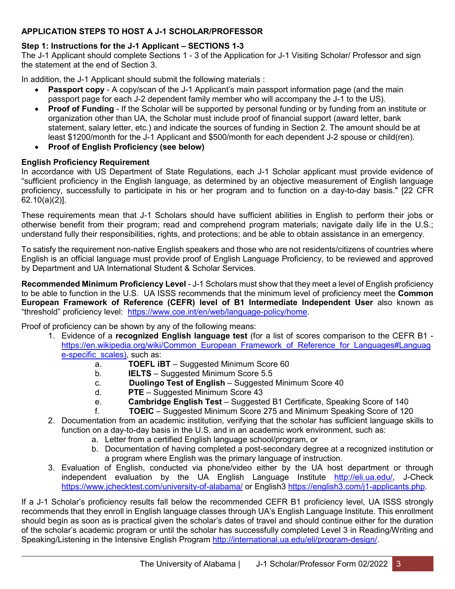## **APPLICATION STEPS TO HOST A J-1 SCHOLAR/PROFESSOR**

### **Step 1: Instructions for the J-1 Applicant – SECTIONS 1-3**

The J-1 Applicant should complete Sections 1 - 3 of the Application for J-1 Visiting Scholar/ Professor and sign the statement at the end of Section 3.

In addition, the J-1 Applicant should submit the following materials :

- **Passport copy** A copy/scan of the J-1 Applicant's main passport information page (and the main passport page for each J-2 dependent family member who will accompany the J-1 to the US).
- **Proof of Funding** If the Scholar will be supported by personal funding or by funding from an institute or organization other than UA, the Scholar must include proof of financial support (award letter, bank statement, salary letter, etc.) and indicate the sources of funding in Section 2. The amount should be at least \$1200/month for the J-1 Applicant and \$500/month for each dependent J-2 spouse or child(ren).
- **Proof of English Proficiency (see below)**

### **English Proficiency Requirement**

In accordance with US Department of State Regulations, each J-1 Scholar applicant must provide evidence of "sufficient proficiency in the English language, as determined by an objective measurement of English language proficiency, successfully to participate in his or her program and to function on a day-to-day basis." [22 CFR 62.10(a)(2)].

These requirements mean that J-1 Scholars should have sufficient abilities in English to perform their jobs or otherwise benefit from their program; read and comprehend program materials; navigate daily life in the U.S.; understand fully their responsibilities, rights, and protections; and be able to obtain assistance in an emergency.

To satisfy the requirement non-native English speakers and those who are not residents/citizens of countries where English is an official language must provide proof of English Language Proficiency, to be reviewed and approved by Department and UA International Student & Scholar Services.

**Recommended Minimum Proficiency Level** - J-1 Scholars must show that they meet a level of English proficiency to be able to function in the U.S. UA ISSS recommends that the minimum level of proficiency meet the **Common European Framework of Reference (CEFR) level of B1 Intermediate Independent User** also known as "threshold" proficiency level: [https://www.coe.int/en/web/language-policy/home.](https://www.coe.int/en/web/language-policy/home)

Proof of proficiency can be shown by any of the following means:

- 1. Evidence of a **recognized English language test** (for a list of scores comparison to the CEFR B1 [https://en.wikipedia.org/wiki/Common\\_European\\_Framework\\_of\\_Reference\\_for\\_Languages#Languag](https://en.wikipedia.org/wiki/Common_European_Framework_of_Reference_for_Languages#Language-specific_scales) [e-specific\\_scales\)](https://en.wikipedia.org/wiki/Common_European_Framework_of_Reference_for_Languages#Language-specific_scales), such as:
	- a. **TOEFL iBT** Suggested Minimum Score 60
	- b. **IELTS** Suggested Minimum Score 5.5
	- c. **Duolingo Test of English** Suggested Minimum Score 40
	- d. **PTE** Suggested Minimum Score 43
	- e. **Cambridge English Test** Suggested B1 Certificate, Speaking Score of 140
	- f. **TOEIC** Suggested Minimum Score 275 and Minimum Speaking Score of 120
- 2. Documentation from an academic institution, verifying that the scholar has sufficient language skills to function on a day-to-day basis in the U.S. and in an academic work environment, such as:
	- a. Letter from a certified English language school/program, or
	- b. Documentation of having completed a post-secondary degree at a recognized institution or a program where English was the primary language of instruction.
- 3. Evaluation of English, conducted via phone/video either by the UA host department or through independent evaluation by the UA English Language Institute [http://eli.ua.edu/,](http://eli.ua.edu/) J-Check <https://www.jchecktest.com/university-of-alabama/> or English3 [https://english3.com/j1-applicants.php.](https://english3.com/j1-applicants.php)

If a J-1 Scholar's proficiency results fall below the recommended CEFR B1 proficiency level, UA ISSS strongly recommends that they enroll in English language classes through UA's English Language Institute. This enrollment should begin as soon as is practical given the scholar's dates of travel and should continue either for the duration of the scholar's academic program or until the scholar has successfully completed Level 3 in Reading/Writing and Speaking/Listening in the Intensive English Program [http://international.ua.edu/eli/program-design/.](http://international.ua.edu/eli/program-design/)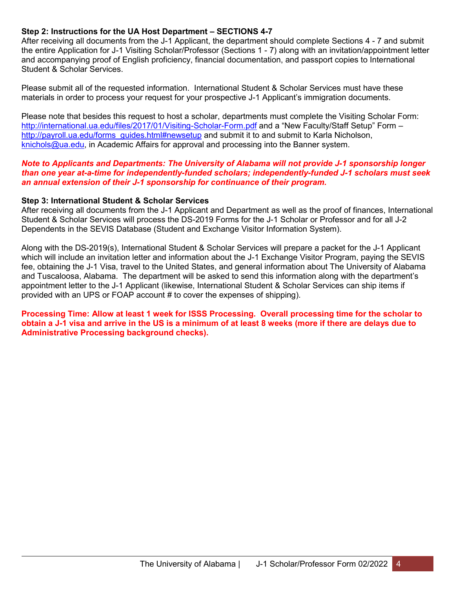#### **Step 2: Instructions for the UA Host Department – SECTIONS 4-7**

After receiving all documents from the J-1 Applicant, the department should complete Sections 4 - 7 and submit the entire Application for J-1 Visiting Scholar/Professor (Sections 1 - 7) along with an invitation/appointment letter and accompanying proof of English proficiency, financial documentation, and passport copies to International Student & Scholar Services.

Please submit all of the requested information. International Student & Scholar Services must have these materials in order to process your request for your prospective J-1 Applicant's immigration documents.

Please note that besides this request to host a scholar, departments must complete the Visiting Scholar Form: <http://international.ua.edu/files/2017/01/Visiting-Scholar-Form.pdf> and a "New Faculty/Staff Setup" Form – [http://payroll.ua.edu/forms\\_guides.html#newsetup](http://payroll.ua.edu/forms_guides.html#newsetup) and submit it to and submit to Karla Nicholson, [knichols@ua.edu,](mailto:knichols@ua.edu) in Academic Affairs for approval and processing into the Banner system.

#### *Note to Applicants and Departments: The University of Alabama will not provide J-1 sponsorship longer than one year at-a-time for independently-funded scholars; independently-funded J-1 scholars must seek an annual extension of their J-1 sponsorship for continuance of their program.*

#### **Step 3: International Student & Scholar Services**

After receiving all documents from the J-1 Applicant and Department as well as the proof of finances, International Student & Scholar Services will process the DS-2019 Forms for the J-1 Scholar or Professor and for all J-2 Dependents in the SEVIS Database (Student and Exchange Visitor Information System).

Along with the DS-2019(s), International Student & Scholar Services will prepare a packet for the J-1 Applicant which will include an invitation letter and information about the J-1 Exchange Visitor Program, paying the SEVIS fee, obtaining the J-1 Visa, travel to the United States, and general information about The University of Alabama and Tuscaloosa, Alabama. The department will be asked to send this information along with the department's appointment letter to the J-1 Applicant (likewise, International Student & Scholar Services can ship items if provided with an UPS or FOAP account # to cover the expenses of shipping).

**Processing Time: Allow at least 1 week for ISSS Processing. Overall processing time for the scholar to obtain a J-1 visa and arrive in the US is a minimum of at least 8 weeks (more if there are delays due to Administrative Processing background checks).**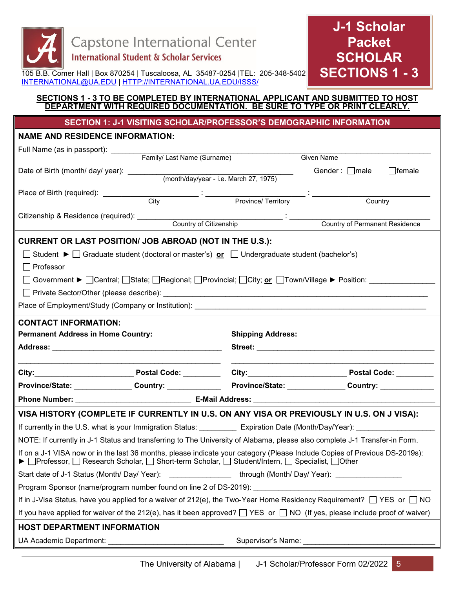

**J-1 Scholar Packet SCHOLAR SECTIONS 1 - 3**

105 B.B. Comer Hall | Box 870254 | Tuscaloosa, AL 35487-0254 |TEL: 205-348-5402 [INTERNATIONAL@UA.EDU](mailto:INTERNATIONAL@UA.EDU) | [HTTP://INTERNATIONAL.UA.EDU/ISSS/](http://international.ua.edu/ISSS/) 

#### **SECTIONS 1 - 3 TO BE COMPLETED BY INTERNATIONAL APPLICANT AND SUBMITTED TO HOST DEPARTMENT WITH REQUIRED DOCUMENTATION. BE SURE TO TYPE OR PRINT CLEARLY.**

**SECTION 1: J-1 VISITING SCHOLAR/PROFESSOR'S DEMOGRAPHIC INFORMATION**

#### **NAME AND RESIDENCE INFORMATION:**

|                                                                                                                                                                                                                              |  | Given Name                                                                                                              |                                                                                                                            |  |
|------------------------------------------------------------------------------------------------------------------------------------------------------------------------------------------------------------------------------|--|-------------------------------------------------------------------------------------------------------------------------|----------------------------------------------------------------------------------------------------------------------------|--|
|                                                                                                                                                                                                                              |  |                                                                                                                         | Gender: $\Box$ male<br>$\Box$ female                                                                                       |  |
|                                                                                                                                                                                                                              |  |                                                                                                                         |                                                                                                                            |  |
|                                                                                                                                                                                                                              |  |                                                                                                                         | Country                                                                                                                    |  |
|                                                                                                                                                                                                                              |  |                                                                                                                         |                                                                                                                            |  |
|                                                                                                                                                                                                                              |  |                                                                                                                         | Country of Permanent Residence                                                                                             |  |
| CURRENT OR LAST POSITION/ JOB ABROAD (NOT IN THE U.S.):                                                                                                                                                                      |  |                                                                                                                         |                                                                                                                            |  |
|                                                                                                                                                                                                                              |  | Student $\blacktriangleright \Box$ Graduate student (doctoral or master's) or $\Box$ Undergraduate student (bachelor's) |                                                                                                                            |  |
| Professor                                                                                                                                                                                                                    |  |                                                                                                                         |                                                                                                                            |  |
|                                                                                                                                                                                                                              |  |                                                                                                                         | Government ▶ □Central; □State; □Regional; □Provincial; □City; <u>or</u> □Town/Village ▶ Position: _____________            |  |
|                                                                                                                                                                                                                              |  |                                                                                                                         |                                                                                                                            |  |
|                                                                                                                                                                                                                              |  |                                                                                                                         |                                                                                                                            |  |
|                                                                                                                                                                                                                              |  |                                                                                                                         |                                                                                                                            |  |
| <b>CONTACT INFORMATION:</b>                                                                                                                                                                                                  |  |                                                                                                                         |                                                                                                                            |  |
| <b>Permanent Address in Home Country:</b>                                                                                                                                                                                    |  |                                                                                                                         | <b>Shipping Address:</b>                                                                                                   |  |
|                                                                                                                                                                                                                              |  |                                                                                                                         |                                                                                                                            |  |
|                                                                                                                                                                                                                              |  |                                                                                                                         |                                                                                                                            |  |
|                                                                                                                                                                                                                              |  |                                                                                                                         | Province/State: _______________Country: ___________________Province/State: ______________Country: ____________             |  |
|                                                                                                                                                                                                                              |  |                                                                                                                         |                                                                                                                            |  |
|                                                                                                                                                                                                                              |  |                                                                                                                         | VISA HISTORY (COMPLETE IF CURRENTLY IN U.S. ON ANY VISA OR PREVIOUSLY IN U.S. ON J VISA):                                  |  |
|                                                                                                                                                                                                                              |  |                                                                                                                         | If currently in the U.S. what is your Immigration Status: ___________ Expiration Date (Month/Day/Year): ______________     |  |
|                                                                                                                                                                                                                              |  |                                                                                                                         | NOTE: If currently in J-1 Status and transferring to The University of Alabama, please also complete J-1 Transfer-in Form. |  |
| If on a J-1 VISA now or in the last 36 months, please indicate your category (Please Include Copies of Previous DS-2019s):<br>▶ Professor, Q Research Scholar, Q Short-term Scholar, Q Student/Intern, Q Specialist, Q Other |  |                                                                                                                         |                                                                                                                            |  |
| Start date of J-1 Status (Month/ Day/ Year): __________________through (Month/ Day/ Year): __________________                                                                                                                |  |                                                                                                                         |                                                                                                                            |  |
| Program Sponsor (name/program number found on line 2 of DS-2019): __________________________________                                                                                                                         |  |                                                                                                                         |                                                                                                                            |  |
| If in J-Visa Status, have you applied for a waiver of 212(e), the Two-Year Home Residency Requirement? □ YES or □ NO                                                                                                         |  |                                                                                                                         |                                                                                                                            |  |
| If you have applied for waiver of the 212(e), has it been approved? $\Box$ YES or $\Box$ NO (If yes, please include proof of waiver)                                                                                         |  |                                                                                                                         |                                                                                                                            |  |
| <b>HOST DEPARTMENT INFORMATION</b>                                                                                                                                                                                           |  |                                                                                                                         |                                                                                                                            |  |
| UA Academic Department:                                                                                                                                                                                                      |  | Supervisor's Name:                                                                                                      |                                                                                                                            |  |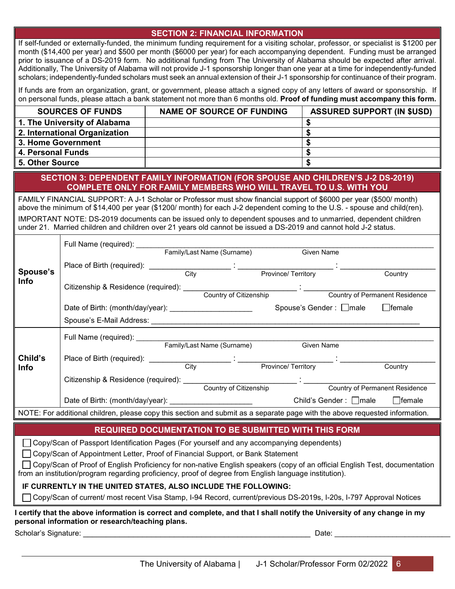#### **SECTION 2: FINANCIAL INFORMATION**

If self-funded or externally-funded, the minimum funding requirement for a visiting scholar, professor, or specialist is \$1200 per month (\$14,400 per year) and \$500 per month (\$6000 per year) for each accompanying dependent. Funding must be arranged prior to issuance of a DS-2019 form. No additional funding from The University of Alabama should be expected after arrival. Additionally, The University of Alabama will not provide J-1 sponsorship longer than one year at a time for independently-funded scholars; independently-funded scholars must seek an annual extension of their J-1 sponsorship for continuance of their program.

If funds are from an organization, grant, or government, please attach a signed copy of any letters of award or sponsorship. If on personal funds, please attach a bank statement not more than 6 months old. **Proof of funding must accompany this form.**

| <b>SOURCES OF FUNDS</b>       | <b>NAME OF SOURCE OF FUNDING</b> | <b>ASSURED SUPPORT (IN \$USD)</b> |
|-------------------------------|----------------------------------|-----------------------------------|
| 1. The University of Alabama  |                                  |                                   |
| 2. International Organization |                                  |                                   |
| l 3. Home Government          |                                  |                                   |
| 4. Personal Funds             |                                  |                                   |
| <b>5. Other Source</b>        |                                  |                                   |

**SECTION 3: DEPENDENT FAMILY INFORMATION (FOR SPOUSE AND CHILDREN'S J-2 DS-2019) COMPLETE ONLY FOR FAMILY MEMBERS WHO WILL TRAVEL TO U.S. WITH YOU**

FAMILY FINANCIAL SUPPORT: A J-1 Scholar or Professor must show financial support of \$6000 per year (\$500/ month) above the minimum of \$14,400 per year (\$1200/ month) for each J-2 dependent coming to the U.S. - spouse and child(ren). IMPORTANT NOTE: DS-2019 documents can be issued only to dependent spouses and to unmarried, dependent children under 21. Married children and children over 21 years old cannot be issued a DS-2019 and cannot hold J-2 status.

|                                                                                                                             | Full Name (required): ___________                          |                            |                                                                                                                      |                                   |         |
|-----------------------------------------------------------------------------------------------------------------------------|------------------------------------------------------------|----------------------------|----------------------------------------------------------------------------------------------------------------------|-----------------------------------|---------|
|                                                                                                                             |                                                            | Family/Last Name (Surname) |                                                                                                                      | <b>Given Name</b>                 |         |
|                                                                                                                             |                                                            |                            |                                                                                                                      |                                   |         |
| Spouse's                                                                                                                    |                                                            | City                       | Province/Territory                                                                                                   |                                   | Country |
| <b>Info</b>                                                                                                                 |                                                            |                            |                                                                                                                      |                                   |         |
|                                                                                                                             |                                                            | Country of Citizenship     |                                                                                                                      | Country of Permanent Residence    |         |
|                                                                                                                             | Date of Birth: (month/day/year): _______________________   |                            |                                                                                                                      | Spouse's Gender : □ male □ female |         |
|                                                                                                                             |                                                            |                            |                                                                                                                      |                                   |         |
|                                                                                                                             |                                                            |                            |                                                                                                                      |                                   |         |
|                                                                                                                             |                                                            | Family/Last Name (Surname) |                                                                                                                      | <b>Given Name</b>                 |         |
| Child's                                                                                                                     |                                                            |                            |                                                                                                                      |                                   |         |
| <b>Info</b>                                                                                                                 |                                                            | City                       | Province/Territory                                                                                                   |                                   | Country |
|                                                                                                                             | Citizenship & Residence (required):                        |                            | <u> 1999 - Jan Stein Harry Stein Harry Stein Harry Stein Harry Stein Harry Stein Harry Stein Harry Stein Harry S</u> |                                   |         |
|                                                                                                                             |                                                            | Country of Citizenship     |                                                                                                                      | Country of Permanent Residence    |         |
|                                                                                                                             | Date of Birth: (month/day/year): _________________________ |                            |                                                                                                                      | Child's Gender : □ male □ female  |         |
| NOTE: For additional children, please copy this section and submit as a separate page with the above requested information. |                                                            |                            |                                                                                                                      |                                   |         |
| <b>REQUIRED DOCUMENTATION TO BE SUBMITTED WITH THIS FORM</b>                                                                |                                                            |                            |                                                                                                                      |                                   |         |

Copy/Scan of Passport Identification Pages (For yourself and any accompanying dependents)

□ Copy/Scan of Appointment Letter, Proof of Financial Support, or Bank Statement

 Copy/Scan of Proof of English Proficiency for non-native English speakers (copy of an official English Test, documentation from an institution/program regarding proficiency, proof of degree from English language institution).

#### **IF CURRENTLY IN THE UNITED STATES, ALSO INCLUDE THE FOLLOWING:**

Copy/Scan of current/ most recent Visa Stamp, I-94 Record, current/previous DS-2019s, I-20s, I-797 Approval Notices

**I certify that the above information is correct and complete, and that I shall notify the University of any change in my personal information or research/teaching plans.** 

Scholar's Signature: \_\_\_\_\_\_\_\_\_\_\_\_\_\_\_\_\_\_\_\_\_\_\_\_\_\_\_\_\_\_\_\_\_\_\_\_\_\_\_\_\_\_\_\_\_\_\_\_\_\_ Date: \_\_\_\_\_\_\_\_\_\_\_\_\_\_\_\_\_\_\_\_\_\_\_\_\_\_\_\_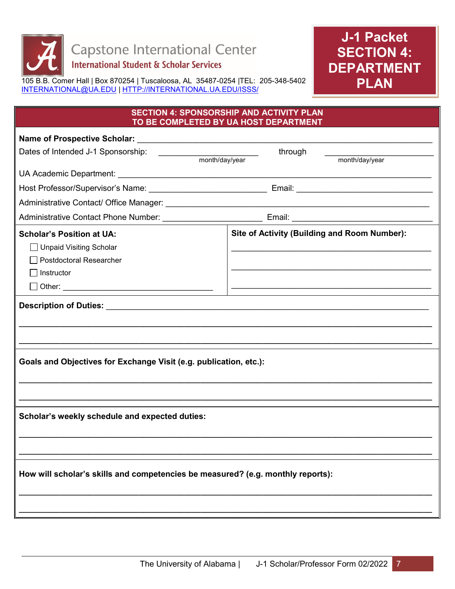

# **J-1 Packet SECTION 4: DEPARTMENT PLAN**

105 B.B. Comer Hall | Box 870254 | Tuscaloosa, AL 35487-0254 |TEL: 205-348-5402 [INTERNATIONAL@UA.EDU](mailto:INTERNATIONAL@UA.EDU) | [HTTP://INTERNATIONAL.UA.EDU/ISSS/](http://international.ua.edu/ISSS/) 

#### **SECTION 4: SPONSORSHIP AND ACTIVITY PLAN TO BE COMPLETED BY UA HOST DEPARTMENT**

| Dates of Intended J-1 Sponsorship:                                                                          | through<br>month/day/year                    |  |
|-------------------------------------------------------------------------------------------------------------|----------------------------------------------|--|
|                                                                                                             |                                              |  |
|                                                                                                             |                                              |  |
|                                                                                                             |                                              |  |
|                                                                                                             |                                              |  |
| <b>Scholar's Position at UA:</b><br>Unpaid Visiting Scholar<br><b>Postdoctoral Researcher</b><br>Instructor | Site of Activity (Building and Room Number): |  |
| Description of Duties: Description of Duties:                                                               |                                              |  |
|                                                                                                             |                                              |  |
|                                                                                                             |                                              |  |
| Goals and Objectives for Exchange Visit (e.g. publication, etc.):                                           |                                              |  |
| Scholar's weekly schedule and expected duties:                                                              |                                              |  |
|                                                                                                             |                                              |  |
| How will scholar's skills and competencies be measured? (e.g. monthly reports):                             |                                              |  |
|                                                                                                             |                                              |  |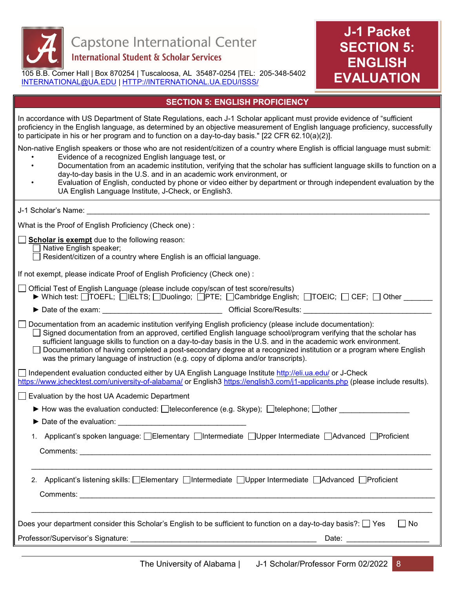

105 B.B. Comer Hall | Box 870254 | Tuscaloosa, AL 35487-0254 |TEL: 205-348-5402 [INTERNATIONAL@UA.EDU](mailto:INTERNATIONAL@UA.EDU) | [HTTP://INTERNATIONAL.UA.EDU/ISSS/](http://international.ua.edu/ISSS/) 



#### **SECTION 5: ENGLISH PROFICIENCY**

In accordance with US Department of State Regulations, each J-1 Scholar applicant must provide evidence of "sufficient proficiency in the English language, as determined by an objective measurement of English language proficiency, successfully to participate in his or her program and to function on a day-to-day basis." [22 CFR 62.10(a)(2)].

Non-native English speakers or those who are not resident/citizen of a country where English is official language must submit:

- Evidence of a recognized English language test, or
- Documentation from an academic institution, verifying that the scholar has sufficient language skills to function on a day-to-day basis in the U.S. and in an academic work environment, or
	- Evaluation of English, conducted by phone or video either by department or through independent evaluation by the UA English Language Institute, J-Check, or English3.

| J-1 Scholar's Name: The Contract of the Contract of the Contract of the Contract of the Contract of the Contract of the Contract of the Contract of the Contract of the Contract of the Contract of the Contract of the Contra                                                                                                                                                                                                                                                                                                                          |  |  |
|---------------------------------------------------------------------------------------------------------------------------------------------------------------------------------------------------------------------------------------------------------------------------------------------------------------------------------------------------------------------------------------------------------------------------------------------------------------------------------------------------------------------------------------------------------|--|--|
| What is the Proof of English Proficiency (Check one):                                                                                                                                                                                                                                                                                                                                                                                                                                                                                                   |  |  |
| Scholar is exempt due to the following reason:<br>Native English speaker;<br>Resident/citizen of a country where English is an official language.                                                                                                                                                                                                                                                                                                                                                                                                       |  |  |
| If not exempt, please indicate Proof of English Proficiency (Check one):                                                                                                                                                                                                                                                                                                                                                                                                                                                                                |  |  |
| □ Official Test of English Language (please include copy/scan of test score/results)<br>▶ Which test: OTOEFL; OIELTS; ODuolingo; OPTE; OCambridge English; OTOEIC; OICEF; Other                                                                                                                                                                                                                                                                                                                                                                         |  |  |
|                                                                                                                                                                                                                                                                                                                                                                                                                                                                                                                                                         |  |  |
| Documentation from an academic institution verifying English proficiency (please include documentation):<br>Signed documentation from an approved, certified English language school/program verifying that the scholar has<br>sufficient language skills to function on a day-to-day basis in the U.S. and in the academic work environment.<br>Documentation of having completed a post-secondary degree at a recognized institution or a program where English<br>was the primary language of instruction (e.g. copy of diploma and/or transcripts). |  |  |
| □ Independent evaluation conducted either by UA English Language Institute http://eli.ua.edu/ or J-Check<br>https://www.jchecktest.com/university-of-alabama/ or English3 https://english3.com/j1-applicants.php (please include results).                                                                                                                                                                                                                                                                                                              |  |  |
| Evaluation by the host UA Academic Department                                                                                                                                                                                                                                                                                                                                                                                                                                                                                                           |  |  |
| ► How was the evaluation conducted: $\Box$ teleconference (e.g. Skype); $\Box$ telephone; $\Box$ other                                                                                                                                                                                                                                                                                                                                                                                                                                                  |  |  |
| Date of the evaluation:                                                                                                                                                                                                                                                                                                                                                                                                                                                                                                                                 |  |  |
| Applicant's spoken language: □Elementary □Intermediate □Upper Intermediate □Advanced □Proficient<br>1.                                                                                                                                                                                                                                                                                                                                                                                                                                                  |  |  |
|                                                                                                                                                                                                                                                                                                                                                                                                                                                                                                                                                         |  |  |
| 2. Applicant's listening skills: Elementary Elntermediate EUpper Intermediate EAdvanced EProficient                                                                                                                                                                                                                                                                                                                                                                                                                                                     |  |  |
|                                                                                                                                                                                                                                                                                                                                                                                                                                                                                                                                                         |  |  |
| Does your department consider this Scholar's English to be sufficient to function on a day-to-day basis?: $\Box$ Yes<br>$\Box$ No                                                                                                                                                                                                                                                                                                                                                                                                                       |  |  |
| Professor/Supervisor's Signature: Note of the Second Supervisor of the Second Supervisor of the Second Supervisor<br>Date:                                                                                                                                                                                                                                                                                                                                                                                                                              |  |  |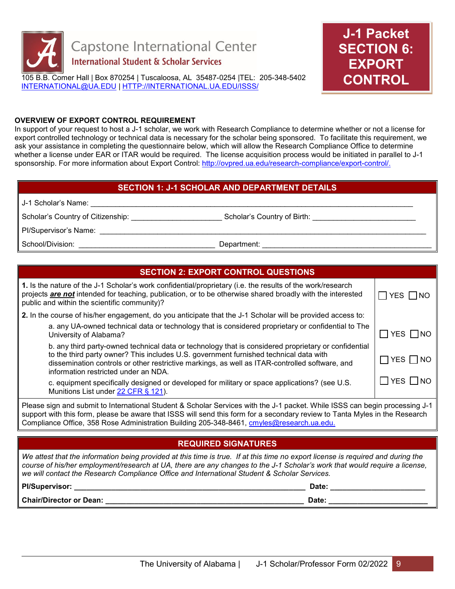

105 B.B. Comer Hall | Box 870254 | Tuscaloosa, AL 35487-0254 |TEL: 205-348-5402 [INTERNATIONAL@UA.EDU](mailto:INTERNATIONAL@UA.EDU) | [HTTP://INTERNATIONAL.UA.EDU/ISSS/](http://international.ua.edu/ISSS/) 



#### **OVERVIEW OF EXPORT CONTROL REQUIREMENT**

In support of your request to host a J-1 scholar, we work with Research Compliance to determine whether or not a license for export controlled technology or technical data is necessary for the scholar being sponsored. To facilitate this requirement, we ask your assistance in completing the questionnaire below, which will allow the Research Compliance Office to determine whether a license under EAR or ITAR would be required. The license acquisition process would be initiated in parallel to J-1 sponsorship. For more information about Export Control: [http://ovpred.ua.edu/research-compliance/export-control/.](http://ovpred.ua.edu/research-compliance/export-control/)

#### **SECTION 1: J-1 SCHOLAR AND DEPARTMENT DETAILS**

| J-1 Scholar's Name:               |                             |
|-----------------------------------|-----------------------------|
| Scholar's Country of Citizenship: | Scholar's Country of Birth: |
| PI/Supervisor's Name:             |                             |
| School/Division:                  | Department:                 |

### **SECTION 2: EXPORT CONTROL QUESTIONS**

| 1. Is the nature of the J-1 Scholar's work confidential/proprietary (i.e. the results of the work/research<br>projects are not intended for teaching, publication, or to be otherwise shared broadly with the interested<br>public and within the scientific community)?                                                                |                      |  |
|-----------------------------------------------------------------------------------------------------------------------------------------------------------------------------------------------------------------------------------------------------------------------------------------------------------------------------------------|----------------------|--|
| 2. In the course of his/her engagement, do you anticipate that the J-1 Scholar will be provided access to:                                                                                                                                                                                                                              |                      |  |
| a. any UA-owned technical data or technology that is considered proprietary or confidential to The<br>University of Alabama?                                                                                                                                                                                                            | $\Box$ YES $\Box$ NO |  |
| b. any third party-owned technical data or technology that is considered proprietary or confidential<br>to the third party owner? This includes U.S. government furnished technical data with<br>dissemination controls or other restrictive markings, as well as ITAR-controlled software, and<br>information restricted under an NDA. | $\Box$ YES $\Box$ NO |  |
| c. equipment specifically designed or developed for military or space applications? (see U.S.<br>Munitions List under 22 CFR § 121).                                                                                                                                                                                                    | $\Box$ YES $\Box$ NO |  |
| Diagon gian and outpoil to International Ctudent & Cebeler Censines with the 14 neglect While ICCC can begin proceeding 14                                                                                                                                                                                                              |                      |  |

Please sign and submit to International Student & Scholar Services with the J-1 packet. While ISSS can begin processing J-1 support with this form, please be aware that ISSS will send this form for a secondary review to Tanta Myles in the Research Compliance Office, 358 Rose Administration Building 205-348-8461, [cmyles@research.ua.edu.](mailto:cmyles@research.ua.edu)

## **REQUIRED SIGNATURES**

*We attest that the information being provided at this time is true. If at this time no export license is required and during the course of his/her employment/research at UA, there are any changes to the J-1 Scholar's work that would require a license, we will contact the Research Compliance Office and International Student & Scholar Services.*

| Pl/Supervisor:                 | Date        |
|--------------------------------|-------------|
| <b>Chair/Director or Dean:</b> | <b>Date</b> |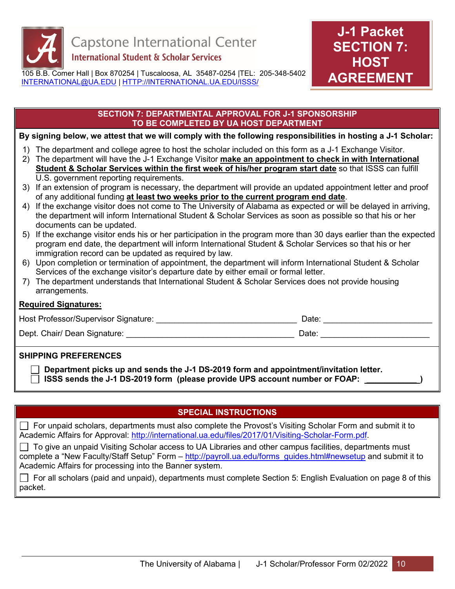

105 B.B. Comer Hall | Box 870254 | Tuscaloosa, AL 35487-0254 |TEL: 205-348-5402 [INTERNATIONAL@UA.EDU](mailto:INTERNATIONAL@UA.EDU) | [HTTP://INTERNATIONAL.UA.EDU/ISSS/](http://international.ua.edu/ISSS/) 



#### **SECTION 7: DEPARTMENTAL APPROVAL FOR J-1 SPONSORSHIP TO BE COMPLETED BY UA HOST DEPARTMENT**

#### **By signing below, we attest that we will comply with the following responsibilities in hosting a J-1 Scholar:**

- 1) The department and college agree to host the scholar included on this form as a J-1 Exchange Visitor.
- 2) The department will have the J-1 Exchange Visitor **make an appointment to check in with International Student & Scholar Services within the first week of his/her program start date** so that ISSS can fulfill U.S. government reporting requirements.
- 3) If an extension of program is necessary, the department will provide an updated appointment letter and proof of any additional funding **at least two weeks prior to the current program end date**.
- 4) If the exchange visitor does not come to The University of Alabama as expected or will be delayed in arriving, the department will inform International Student & Scholar Services as soon as possible so that his or her documents can be updated.
- 5) If the exchange visitor ends his or her participation in the program more than 30 days earlier than the expected program end date, the department will inform International Student & Scholar Services so that his or her immigration record can be updated as required by law.
- 6) Upon completion or termination of appointment, the department will inform International Student & Scholar Services of the exchange visitor's departure date by either email or formal letter.
- 7) The department understands that International Student & Scholar Services does not provide housing arrangements.

#### **Required Signatures:**

| Host Professor/Supervisor Signature:                                                           | Date: |  |
|------------------------------------------------------------------------------------------------|-------|--|
| Dept. Chair/ Dean Signature:                                                                   | Date: |  |
| <b>SHIPPING PREFERENCES</b>                                                                    |       |  |
| $\Box$ Department picks up and capable that I d DC 0040 form and enpaintment invitation latter |       |  |

 **Department picks up and sends the J-1 DS-2019 form and appointment/invitation letter. ISSS sends the J-1 DS-2019 form (please provide UPS account number or FOAP: \_\_\_\_\_\_\_\_\_\_\_ )** 

## **SPECIAL INSTRUCTIONS**

For unpaid scholars, departments must also complete the Provost's Visiting Scholar Form and submit it to Academic Affairs for Approval: [http://international.ua.edu/files/2017/01/Visiting-Scholar-Form.pdf.](http://international.ua.edu/files/2017/01/Visiting-Scholar-Form.pdf)

To give an unpaid Visiting Scholar access to UA Libraries and other campus facilities, departments must complete a "New Faculty/Staff Setup" Form – [http://payroll.ua.edu/forms\\_guides.html#newsetup](http://payroll.ua.edu/forms_guides.html#newsetup) and submit it to Academic Affairs for processing into the Banner system.

For all scholars (paid and unpaid), departments must complete Section 5: English Evaluation on page 8 of this packet.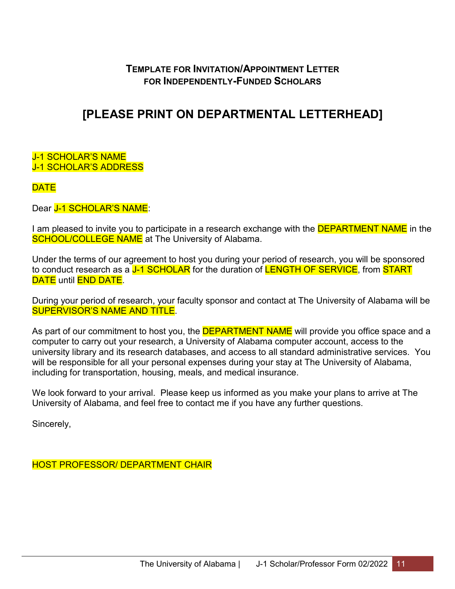# **TEMPLATE FOR INVITATION/APPOINTMENT LETTER FOR INDEPENDENTLY-FUNDED SCHOLARS**

# **[PLEASE PRINT ON DEPARTMENTAL LETTERHEAD]**

#### J-1 SCHOLAR'S NAME J-1 SCHOLAR'S ADDRESS

# **DATE**

Dear J-1 SCHOLAR'S NAME:

I am pleased to invite you to participate in a research exchange with the **DEPARTMENT NAME** in the **SCHOOL/COLLEGE NAME** at The University of Alabama.

Under the terms of our agreement to host you during your period of research, you will be sponsored to conduct research as a J-1 SCHOLAR for the duration of LENGTH OF SERVICE, from START DATE until **END DATE**.

During your period of research, your faculty sponsor and contact at The University of Alabama will be SUPERVISOR'S NAME AND TITLE.

As part of our commitment to host you, the **DEPARTMENT NAME** will provide you office space and a computer to carry out your research, a University of Alabama computer account, access to the university library and its research databases, and access to all standard administrative services. You will be responsible for all your personal expenses during your stay at The University of Alabama, including for transportation, housing, meals, and medical insurance.

We look forward to your arrival. Please keep us informed as you make your plans to arrive at The University of Alabama, and feel free to contact me if you have any further questions.

Sincerely,

HOST PROFESSOR/ DEPARTMENT CHAIR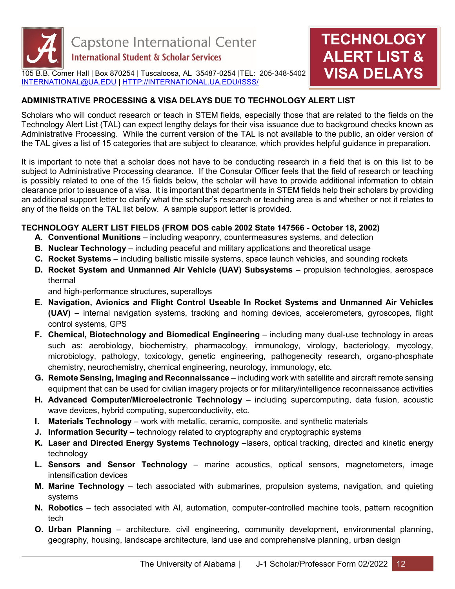

105 B.B. Comer Hall | Box 870254 | Tuscaloosa, AL 35487-0254 |TEL: 205-348-5402 [INTERNATIONAL@UA.EDU](mailto:INTERNATIONAL@UA.EDU) | [HTTP://INTERNATIONAL.UA.EDU/ISSS/](http://international.ua.edu/ISSS/)

# **ADMINISTRATIVE PROCESSING & VISA DELAYS DUE TO TECHNOLOGY ALERT LIST**

Scholars who will conduct research or teach in STEM fields, especially those that are related to the fields on the Technology Alert List (TAL) can expect lengthy delays for their visa issuance due to background checks known as Administrative Processing. While the current version of the TAL is not available to the public, an older version of the TAL gives a list of 15 categories that are subject to clearance, which provides helpful guidance in preparation.

**TECHNOLOGY** 

**ALERT LIST &** 

**VISA DELAYS**

It is important to note that a scholar does not have to be conducting research in a field that is on this list to be subject to Administrative Processing clearance. If the Consular Officer feels that the field of research or teaching is possibly related to one of the 15 fields below, the scholar will have to provide additional information to obtain clearance prior to issuance of a visa. It is important that departments in STEM fields help their scholars by providing an additional support letter to clarify what the scholar's research or teaching area is and whether or not it relates to any of the fields on the TAL list below. A sample support letter is provided.

### **TECHNOLOGY ALERT LIST FIELDS (FROM DOS cable 2002 State 147566 - October 18, 2002)**

- **A. Conventional Munitions** including weaponry, countermeasures systems, and detection
- **B. Nuclear Technology** including peaceful and military applications and theoretical usage
- **C. Rocket Systems** including ballistic missile systems, space launch vehicles, and sounding rockets
- **D. Rocket System and Unmanned Air Vehicle (UAV) Subsystems** propulsion technologies, aerospace thermal

and high-performance structures, superalloys

- **E. Navigation, Avionics and Flight Control Useable In Rocket Systems and Unmanned Air Vehicles (UAV)** – internal navigation systems, tracking and homing devices, accelerometers, gyroscopes, flight control systems, GPS
- **F. Chemical, Biotechnology and Biomedical Engineering** including many dual-use technology in areas such as: aerobiology, biochemistry, pharmacology, immunology, virology, bacteriology, mycology, microbiology, pathology, toxicology, genetic engineering, pathogenecity research, organo-phosphate chemistry, neurochemistry, chemical engineering, neurology, immunology, etc.
- **G. Remote Sensing, Imaging and Reconnaissance** including work with satellite and aircraft remote sensing equipment that can be used for civilian imagery projects or for military/intelligence reconnaissance activities
- **H. Advanced Computer/Microelectronic Technology** including supercomputing, data fusion, acoustic wave devices, hybrid computing, superconductivity, etc.
- **I. Materials Technology** work with metallic, ceramic, composite, and synthetic materials
- **J. Information Security** technology related to cryptography and cryptographic systems
- **K. Laser and Directed Energy Systems Technology** –lasers, optical tracking, directed and kinetic energy technology
- **L. Sensors and Sensor Technology** marine acoustics, optical sensors, magnetometers, image intensification devices
- **M. Marine Technology** tech associated with submarines, propulsion systems, navigation, and quieting systems
- **N. Robotics** tech associated with AI, automation, computer-controlled machine tools, pattern recognition tech
- **O. Urban Planning** architecture, civil engineering, community development, environmental planning, geography, housing, landscape architecture, land use and comprehensive planning, urban design